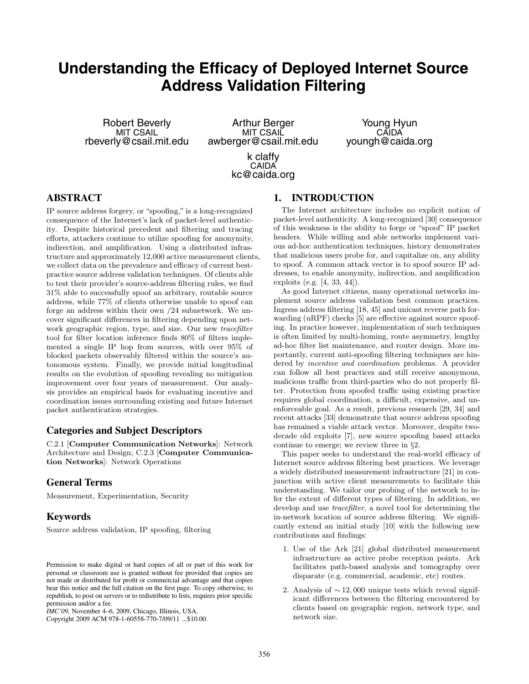# **Understanding the Efficacy of Deployed Internet Source Address Validation Filtering**

Robert Beverly MIT CSAIL rbeverly@csail.mit.edu

Arthur Berger MIT CSAIL awberger@csail.mit.edu

Young Hyun **CAIDA** youngh@caida.org

k claffy **CAIDA** kc@caida.org

# **ABSTRACT**

IP source address forgery, or "spoofing," is a long-recognized consequence of the Internet's lack of packet-level authenticity. Despite historical precedent and filtering and tracing efforts, attackers continue to utilize spoofing for anonymity, indirection, and amplification. Using a distributed infrastructure and approximately 12,000 active measurement clients, we collect data on the prevalence and efficacy of current bestpractice source address validation techniques. Of clients able to test their provider's source-address filtering rules, we find 31% able to successfully spoof an arbitrary, routable source address, while 77% of clients otherwise unable to spoof can forge an address within their own /24 subnetwork. We uncover significant differences in filtering depending upon network geographic region, type, and size. Our new tracefilter tool for filter location inference finds 80% of filters implemented a single IP hop from sources, with over 95% of blocked packets observably filtered within the source's autonomous system. Finally, we provide initial longitudinal results on the evolution of spoofing revealing no mitigation improvement over four years of measurement. Our analysis provides an empirical basis for evaluating incentive and coordination issues surrounding existing and future Internet packet authentication strategies.

#### **Categories and Subject Descriptors**

C.2.1 [**Computer Communication Networks**]: Network Architecture and Design; C.2.3 [**Computer Communication Networks**]: Network Operations

# **General Terms**

Measurement, Experimentation, Security

# **Keywords**

Source address validation, IP spoofing, filtering

Copyright 2009 ACM 978-1-60558-770-7/09/11 ...\$10.00.

# **1. INTRODUCTION**

The Internet architecture includes no explicit notion of packet-level authenticity. A long-recognized [30] consequence of this weakness is the ability to forge or "spoof" IP packet headers. While willing and able networks implement various ad-hoc authentication techniques, history demonstrates that malicious users probe for, and capitalize on, any ability to spoof. A common attack vector is to spoof source IP addresses, to enable anonymity, indirection, and amplification exploits (e.g. [4, 33, 44]).

As good Internet citizens, many operational networks implement source address validation best common practices. Ingress address filtering [18, 45] and unicast reverse path forwarding (uRPF) checks [5] are effective against source spoofing. In practice however, implementation of such techniques is often limited by multi-homing, route asymmetry, lengthy ad-hoc filter list maintenance, and router design. More importantly, current anti-spoofing filtering techniques are hindered by incentive and coordination problems. A provider can follow all best practices and still receive anonymous, malicious traffic from third-parties who do not properly filter. Protection from spoofed traffic using existing practice requires global coordination, a difficult, expensive, and unenforceable goal. As a result, previous research [29, 34] and recent attacks [33] demonstrate that source address spoofing has remained a viable attack vector. Moreover, despite twodecade old exploits [7], new source spoofing based attacks continue to emerge; we review three in §2.

This paper seeks to understand the real-world efficacy of Internet source address filtering best practices. We leverage a widely distributed measurement infrastructure [21] in conjunction with active client measurements to facilitate this understanding. We tailor our probing of the network to infer the extent of different types of filtering. In addition, we develop and use *tracefilter*, a novel tool for determining the in-network location of source address filtering. We significantly extend an initial study [10] with the following new contributions and findings:

- 1. Use of the Ark [21] global distributed measurement infrastructure as active probe reception points. Ark facilitates path-based analysis and tomography over disparate (e.g. commercial, academic, etc) routes.
- 2. Analysis of  $\sim$  12,000 unique tests which reveal significant differences between the filtering encountered by clients based on geographic region, network type, and network size.

Permission to make digital or hard copies of all or part of this work for personal or classroom use is granted without fee provided that copies are not made or distributed for profit or commercial advantage and that copies bear this notice and the full citation on the first page. To copy otherwise, to republish, to post on servers or to redistribute to lists, requires prior specific permission and/or a fee.

*IMC'09,* November 4–6, 2009, Chicago, Illinois, USA.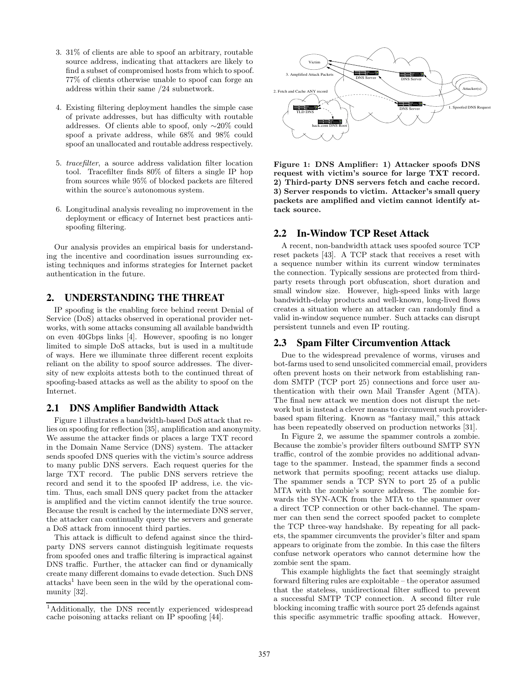- 3. 31% of clients are able to spoof an arbitrary, routable source address, indicating that attackers are likely to find a subset of compromised hosts from which to spoof. 77% of clients otherwise unable to spoof can forge an address within their same /24 subnetwork.
- 4. Existing filtering deployment handles the simple case of private addresses, but has difficulty with routable addresses. Of clients able to spoof, only ∼20% could spoof a private address, while 68% and 98% could spoof an unallocated and routable address respectively.
- 5. tracefilter, a source address validation filter location tool. Tracefilter finds 80% of filters a single IP hop from sources while 95% of blocked packets are filtered within the source's autonomous system.
- 6. Longitudinal analysis revealing no improvement in the deployment or efficacy of Internet best practices antispoofing filtering.

Our analysis provides an empirical basis for understanding the incentive and coordination issues surrounding existing techniques and informs strategies for Internet packet authentication in the future.

## **2. UNDERSTANDING THE THREAT**

IP spoofing is the enabling force behind recent Denial of Service (DoS) attacks observed in operational provider networks, with some attacks consuming all available bandwidth on even 40Gbps links [4]. However, spoofing is no longer limited to simple DoS attacks, but is used in a multitude of ways. Here we illuminate three different recent exploits reliant on the ability to spoof source addresses. The diversity of new exploits attests both to the continued threat of spoofing-based attacks as well as the ability to spoof on the Internet.

## **2.1 DNS Amplifier Bandwidth Attack**

Figure 1 illustrates a bandwidth-based DoS attack that relies on spoofing for reflection [35], amplification and anonymity. We assume the attacker finds or places a large TXT record in the Domain Name Service (DNS) system. The attacker sends spoofed DNS queries with the victim's source address to many public DNS servers. Each request queries for the large TXT record. The public DNS servers retrieve the record and send it to the spoofed IP address, i.e. the victim. Thus, each small DNS query packet from the attacker is amplified and the victim cannot identify the true source. Because the result is cached by the intermediate DNS server, the attacker can continually query the servers and generate a DoS attack from innocent third parties.

This attack is difficult to defend against since the thirdparty DNS servers cannot distinguish legitimate requests from spoofed ones and traffic filtering is impractical against DNS traffic. Further, the attacker can find or dynamically create many different domains to evade detection. Such DNS attacks<sup>1</sup> have been seen in the wild by the operational community [32].



**Figure 1: DNS Amplifier: 1) Attacker spoofs DNS request with victim's source for large TXT record. 2) Third-party DNS servers fetch and cache record. 3) Server responds to victim. Attacker's small query packets are amplified and victim cannot identify attack source.**

#### **2.2 In-Window TCP Reset Attack**

A recent, non-bandwidth attack uses spoofed source TCP reset packets [43]. A TCP stack that receives a reset with a sequence number within its current window terminates the connection. Typically sessions are protected from thirdparty resets through port obfuscation, short duration and small window size. However, high-speed links with large bandwidth-delay products and well-known, long-lived flows creates a situation where an attacker can randomly find a valid in-window sequence number. Such attacks can disrupt persistent tunnels and even IP routing.

#### **2.3 Spam Filter Circumvention Attack**

Due to the widespread prevalence of worms, viruses and bot-farms used to send unsolicited commercial email, providers often prevent hosts on their network from establishing random SMTP (TCP port 25) connections and force user authentication with their own Mail Transfer Agent (MTA). The final new attack we mention does not disrupt the network but is instead a clever means to circumvent such providerbased spam filtering. Known as "fantasy mail," this attack has been repeatedly observed on production networks [31].

In Figure 2, we assume the spammer controls a zombie. Because the zombie's provider filters outbound SMTP SYN traffic, control of the zombie provides no additional advantage to the spammer. Instead, the spammer finds a second network that permits spoofing; recent attacks use dialup. The spammer sends a TCP SYN to port 25 of a public MTA with the zombie's source address. The zombie forwards the SYN-ACK from the MTA to the spammer over a direct TCP connection or other back-channel. The spammer can then send the correct spoofed packet to complete the TCP three-way handshake. By repeating for all packets, the spammer circumvents the provider's filter and spam appears to originate from the zombie. In this case the filters confuse network operators who cannot determine how the zombie sent the spam.

This example highlights the fact that seemingly straight forward filtering rules are exploitable – the operator assumed that the stateless, unidirectional filter sufficed to prevent a successful SMTP TCP connection. A second filter rule blocking incoming traffic with source port 25 defends against this specific asymmetric traffic spoofing attack. However,

<sup>1</sup>Additionally, the DNS recently experienced widespread cache poisoning attacks reliant on IP spoofing [44].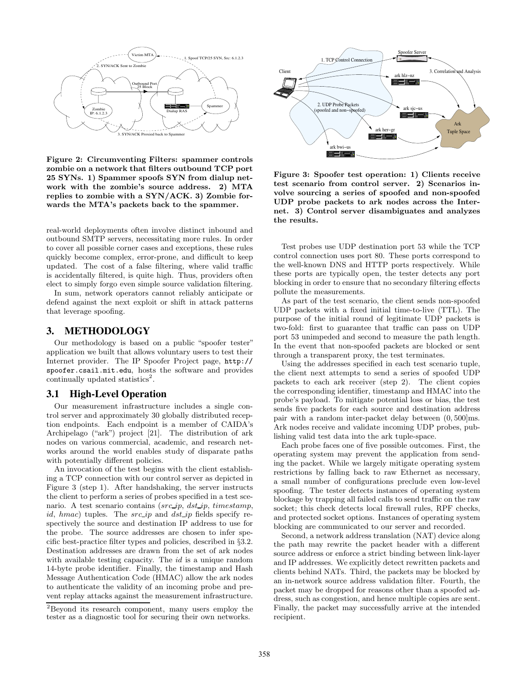

**Figure 2: Circumventing Filters: spammer controls zombie on a network that filters outbound TCP port 25 SYNs. 1) Spammer spoofs SYN from dialup network with the zombie's source address. 2) MTA replies to zombie with a SYN/ACK. 3) Zombie forwards the MTA's packets back to the spammer.**

real-world deployments often involve distinct inbound and outbound SMTP servers, necessitating more rules. In order to cover all possible corner cases and exceptions, these rules quickly become complex, error-prone, and difficult to keep updated. The cost of a false filtering, where valid traffic is accidentally filtered, is quite high. Thus, providers often elect to simply forgo even simple source validation filtering.

In sum, network operators cannot reliably anticipate or defend against the next exploit or shift in attack patterns that leverage spoofing.

#### **3. METHODOLOGY**

Our methodology is based on a public "spoofer tester" application we built that allows voluntary users to test their Internet provider. The IP Spoofer Project page, http:// spoofer.csail.mit.edu, hosts the software and provides continually updated statistics<sup>2</sup>.

#### **3.1 High-Level Operation**

Our measurement infrastructure includes a single control server and approximately 30 globally distributed reception endpoints. Each endpoint is a member of CAIDA's Archipelago ("ark") project [21]. The distribution of ark nodes on various commercial, academic, and research networks around the world enables study of disparate paths with potentially different policies.

An invocation of the test begins with the client establishing a TCP connection with our control server as depicted in Figure 3 (step 1). After handshaking, the server instructs the client to perform a series of probes specified in a test scenario. A test scenario contains ( $src\_ip$ ,  $dst\_ip$ , timestamp, id, hmac) tuples. The  $src\_ip$  and  $dst\_ip$  fields specify respectively the source and destination IP address to use for the probe. The source addresses are chosen to infer specific best-practice filter types and policies, described in §3.2. Destination addresses are drawn from the set of ark nodes with available testing capacity. The  $id$  is a unique random 14-byte probe identifier. Finally, the timestamp and Hash Message Authentication Code (HMAC) allow the ark nodes to authenticate the validity of an incoming probe and prevent replay attacks against the measurement infrastructure.



**Figure 3: Spoofer test operation: 1) Clients receive test scenario from control server. 2) Scenarios involve sourcing a series of spoofed and non-spoofed UDP probe packets to ark nodes across the Internet. 3) Control server disambiguates and analyzes the results.**

Test probes use UDP destination port 53 while the TCP control connection uses port 80. These ports correspond to the well-known DNS and HTTP ports respectively. While these ports are typically open, the tester detects any port blocking in order to ensure that no secondary filtering effects pollute the measurements.

As part of the test scenario, the client sends non-spoofed UDP packets with a fixed initial time-to-live (TTL). The purpose of the initial round of legitimate UDP packets is two-fold: first to guarantee that traffic can pass on UDP port 53 unimpeded and second to measure the path length. In the event that non-spoofed packets are blocked or sent through a transparent proxy, the test terminates.

Using the addresses specified in each test scenario tuple, the client next attempts to send a series of spoofed UDP packets to each ark receiver (step 2). The client copies the corresponding identifier, timestamp and HMAC into the probe's payload. To mitigate potential loss or bias, the test sends five packets for each source and destination address pair with a random inter-packet delay between (0, 500]ms. Ark nodes receive and validate incoming UDP probes, publishing valid test data into the ark tuple-space.

Each probe faces one of five possible outcomes. First, the operating system may prevent the application from sending the packet. While we largely mitigate operating system restrictions by falling back to raw Ethernet as necessary, a small number of configurations preclude even low-level spoofing. The tester detects instances of operating system blockage by trapping all failed calls to send traffic on the raw socket; this check detects local firewall rules, RPF checks, and protected socket options. Instances of operating system blocking are communicated to our server and recorded.

Second, a network address translation (NAT) device along the path may rewrite the packet header with a different source address or enforce a strict binding between link-layer and IP addresses. We explicitly detect rewritten packets and clients behind NATs. Third, the packets may be blocked by an in-network source address validation filter. Fourth, the packet may be dropped for reasons other than a spoofed address, such as congestion, and hence multiple copies are sent. Finally, the packet may successfully arrive at the intended recipient.

<sup>2</sup>Beyond its research component, many users employ the tester as a diagnostic tool for securing their own networks.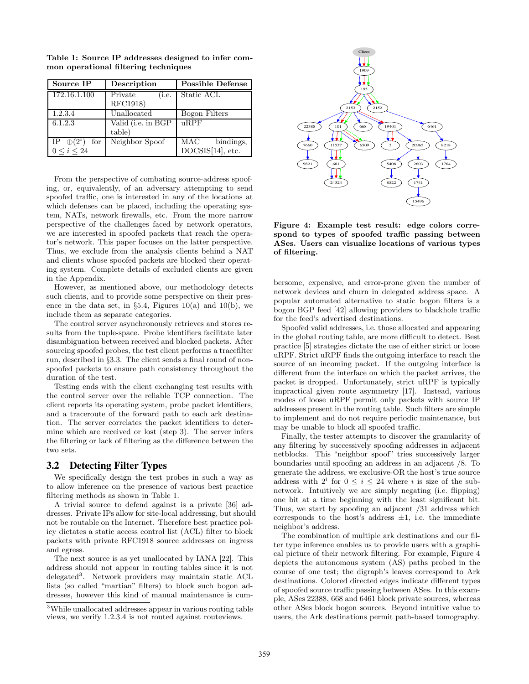| Source IP                                   | Description                     | <b>Possible Defense</b> |
|---------------------------------------------|---------------------------------|-------------------------|
| 172.16.1.100                                | Private<br>(i.e.                | Static ACL              |
|                                             | RFC1918)                        |                         |
| 1.2.3.4                                     | $\overline{\text{Unallocated}}$ | Bogon Filters           |
| 6.1.2.3                                     | Valid (i.e. in BGP              | uRPF                    |
|                                             | table)                          |                         |
| IP $\oplus$ (2 <sup><i>i</i></sup> )<br>for | Neighbor Spoof                  | $\rm MAC$<br>bindings,  |
| 0 < i < 24                                  |                                 | DOCSIS[14], etc.        |

**Table 1: Source IP addresses designed to infer common operational filtering techniques**

From the perspective of combating source-address spoofing, or, equivalently, of an adversary attempting to send spoofed traffic, one is interested in any of the locations at which defenses can be placed, including the operating system, NATs, network firewalls, etc. From the more narrow perspective of the challenges faced by network operators, we are interested in spoofed packets that reach the operator's network. This paper focuses on the latter perspective. Thus, we exclude from the analysis clients behind a NAT and clients whose spoofed packets are blocked their operating system. Complete details of excluded clients are given in the Appendix.

However, as mentioned above, our methodology detects such clients, and to provide some perspective on their presence in the data set, in  $\S 5.4$ , Figures 10(a) and 10(b), we include them as separate categories.

The control server asynchronously retrieves and stores results from the tuple-space. Probe identifiers facilitate later disambiguation between received and blocked packets. After sourcing spoofed probes, the test client performs a tracefilter run, described in §3.3. The client sends a final round of nonspoofed packets to ensure path consistency throughout the duration of the test.

Testing ends with the client exchanging test results with the control server over the reliable TCP connection. The client reports its operating system, probe packet identifiers, and a traceroute of the forward path to each ark destination. The server correlates the packet identifiers to determine which are received or lost (step 3). The server infers the filtering or lack of filtering as the difference between the two sets.

## **3.2 Detecting Filter Types**

We specifically design the test probes in such a way as to allow inference on the presence of various best practice filtering methods as shown in Table 1.

A trivial source to defend against is a private [36] addresses. Private IPs allow for site-local addressing, but should not be routable on the Internet. Therefore best practice policy dictates a static access control list (ACL) filter to block packets with private RFC1918 source addresses on ingress and egress.

The next source is as yet unallocated by IANA [22]. This address should not appear in routing tables since it is not delegated<sup>3</sup>. Network providers may maintain static ACL lists (so called "martian" filters) to block such bogon addresses, however this kind of manual maintenance is cum-



**Figure 4: Example test result: edge colors correspond to types of spoofed traffic passing between ASes. Users can visualize locations of various types of filtering.**

bersome, expensive, and error-prone given the number of network devices and churn in delegated address space. A popular automated alternative to static bogon filters is a bogon BGP feed [42] allowing providers to blackhole traffic for the feed's advertised destinations.

Spoofed valid addresses, i.e. those allocated and appearing in the global routing table, are more difficult to detect. Best practice [5] strategies dictate the use of either strict or loose uRPF. Strict uRPF finds the outgoing interface to reach the source of an incoming packet. If the outgoing interface is different from the interface on which the packet arrives, the packet is dropped. Unfortunately, strict uRPF is typically impractical given route asymmetry [17]. Instead, various modes of loose uRPF permit only packets with source IP addresses present in the routing table. Such filters are simple to implement and do not require periodic maintenance, but may be unable to block all spoofed traffic.

Finally, the tester attempts to discover the granularity of any filtering by successively spoofing addresses in adjacent netblocks. This "neighbor spoof" tries successively larger boundaries until spoofing an address in an adjacent /8. To generate the address, we exclusive-OR the host's true source address with  $2^i$  for  $0 \le i \le 24$  where i is size of the subnetwork. Intuitively we are simply negating (i.e. flipping) one bit at a time beginning with the least significant bit. Thus, we start by spoofing an adjacent /31 address which corresponds to the host's address  $\pm 1$ , i.e. the immediate neighbor's address.

The combination of multiple ark destinations and our filter type inference enables us to provide users with a graphical picture of their network filtering. For example, Figure 4 depicts the autonomous system (AS) paths probed in the course of one test; the digraph's leaves correspond to Ark destinations. Colored directed edges indicate different types of spoofed source traffic passing between ASes. In this example, ASes 22388, 668 and 6461 block private sources, whereas other ASes block bogon sources. Beyond intuitive value to users, the Ark destinations permit path-based tomography.

<sup>3</sup>While unallocated addresses appear in various routing table views, we verify 1.2.3.4 is not routed against routeviews.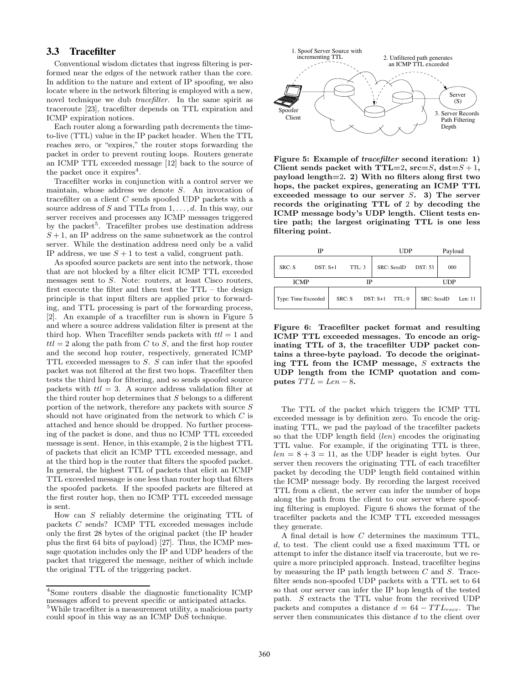# **3.3 Tracefilter**

Conventional wisdom dictates that ingress filtering is performed near the edges of the network rather than the core. In addition to the nature and extent of IP spoofing, we also locate where in the network filtering is employed with a new, novel technique we dub tracefilter. In the same spirit as traceroute [23], tracefilter depends on TTL expiration and ICMP expiration notices.

Each router along a forwarding path decrements the timeto-live (TTL) value in the IP packet header. When the TTL reaches zero, or "expires," the router stops forwarding the packet in order to prevent routing loops. Routers generate an ICMP TTL exceeded message [12] back to the source of the packet once it expires<sup>4</sup>.

Tracefilter works in conjunction with a control server we maintain, whose address we denote S. An invocation of tracefilter on a client  $C$  sends spoofed UDP packets with a source address of  $S$  and TTLs from  $1, \ldots, d$ . In this way, our server receives and processes any ICMP messages triggered by the packet<sup>5</sup>. Tracefilter probes use destination address  $S + 1$ , an IP address on the same subnetwork as the control server. While the destination address need only be a valid IP address, we use  $S + 1$  to test a valid, congruent path.

As spoofed source packets are sent into the network, those that are not blocked by a filter elicit ICMP TTL exceeded messages sent to S. Note: routers, at least Cisco routers, first execute the filter and then test the TTL – the design principle is that input filters are applied prior to forwarding, and TTL processing is part of the forwarding process, [2]. An example of a tracefilter run is shown in Figure 5 and where a source address validation filter is present at the third hop. When Tracefilter sends packets with  $ttl = 1$  and  $ttl = 2$  along the path from C to S, and the first hop router and the second hop router, respectively, generated ICMP TTL exceeded messages to S. S can infer that the spoofed packet was not filtered at the first two hops. Tracefilter then tests the third hop for filtering, and so sends spoofed source packets with  $ttl = 3$ . A source address validation filter at the third router hop determines that S belongs to a different portion of the network, therefore any packets with source  $S$ should not have originated from the network to which  $C$  is attached and hence should be dropped. No further processing of the packet is done, and thus no ICMP TTL exceeded message is sent. Hence, in this example, 2 is the highest TTL of packets that elicit an ICMP TTL exceeded message, and at the third hop is the router that filters the spoofed packet. In general, the highest TTL of packets that elicit an ICMP TTL exceeded message is one less than router hop that filters the spoofed packets. If the spoofed packets are filtered at the first router hop, then no ICMP TTL exceeded message is sent.

How can S reliably determine the originating TTL of packets C sends? ICMP TTL exceeded messages include only the first 28 bytes of the original packet (the IP header plus the first 64 bits of payload) [27]. Thus, the ICMP message quotation includes only the IP and UDP headers of the packet that triggered the message, neither of which include the original TTL of the triggering packet.



**Figure 5: Example of** *tracefilter* **second iteration: 1)** Client sends packet with  $TTL=2$ ,  $src=S$ ,  $dst=S+1$ , **payload length=**2**. 2) With no filters along first two hops, the packet expires, generating an ICMP TTL exceeded message to our server** S**. 3) The server records the originating TTL of** 2 **by decoding the ICMP message body's UDP length. Client tests entire path; the largest originating TTL is one less filtering point.**

| ΙP                  |                     |          | <b>UDP</b>         |            | Payload        |                    |  |           |
|---------------------|---------------------|----------|--------------------|------------|----------------|--------------------|--|-----------|
| SRC: S              | $DST: S+1$<br>TTL:3 |          | <b>SRC: SessID</b> |            | <b>DST: 53</b> | 000                |  |           |
| <b>ICMP</b><br>ΙP   |                     |          |                    |            |                | <b>UDP</b>         |  |           |
| Type: Time Exceeded |                     | $SRC:$ S |                    | $DST: S+1$ | TTI:0          | <b>SRC: SessID</b> |  | Len: $11$ |

**Figure 6: Tracefilter packet format and resulting ICMP TTL exceeded messages. To encode an originating TTL of 3, the tracefilter UDP packet contains a three-byte payload. To decode the originating TTL from the ICMP message,** S **extracts the UDP length from the ICMP quotation and com**putes  $TTL = Len - 8$ .

The TTL of the packet which triggers the ICMP TTL exceeded message is by definition zero. To encode the originating TTL, we pad the payload of the tracefilter packets so that the UDP length field (len) encodes the originating TTL value. For example, if the originating TTL is three,  $len = 8 + 3 = 11$ , as the UDP header is eight bytes. Our server then recovers the originating TTL of each tracefilter packet by decoding the UDP length field contained within the ICMP message body. By recording the largest received TTL from a client, the server can infer the number of hops along the path from the client to our server where spoofing filtering is employed. Figure 6 shows the format of the tracefilter packets and the ICMP TTL exceeded messages they generate.

A final detail is how C determines the maximum TTL, d, to test. The client could use a fixed maximum TTL or attempt to infer the distance itself via traceroute, but we require a more principled approach. Instead, tracefilter begins by measuring the IP path length between  $C$  and  $S$ . Tracefilter sends non-spoofed UDP packets with a TTL set to 64 so that our server can infer the IP hop length of the tested path. S extracts the TTL value from the received UDP packets and computes a distance  $d = 64 - TTL_{recv}$ . The server then communicates this distance d to the client over

<sup>4</sup>Some routers disable the diagnostic functionality ICMP messages afford to prevent specific or anticipated attacks. <sup>5</sup>While tracefilter is a measurement utility, a malicious party could spoof in this way as an ICMP DoS technique.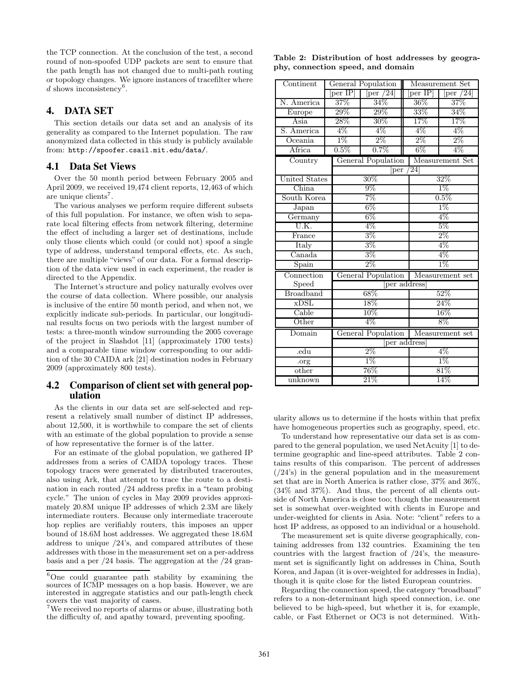the TCP connection. At the conclusion of the test, a second round of non-spoofed UDP packets are sent to ensure that the path length has not changed due to multi-path routing or topology changes. We ignore instances of tracefilter where d shows inconsistency<sup>6</sup>.

## **4. DATA SET**

This section details our data set and an analysis of its generality as compared to the Internet population. The raw anonymized data collected in this study is publicly available from: http://spoofer.csail.mit.edu/data/.

#### **4.1 Data Set Views**

Over the 50 month period between February 2005 and April 2009, we received 19,474 client reports, 12,463 of which are unique clients<sup>7</sup>.

The various analyses we perform require different subsets of this full population. For instance, we often wish to separate local filtering effects from network filtering, determine the effect of including a larger set of destinations, include only those clients which could (or could not) spoof a single type of address, understand temporal effects, etc. As such, there are multiple "views" of our data. For a formal description of the data view used in each experiment, the reader is directed to the Appendix.

The Internet's structure and policy naturally evolves over the course of data collection. Where possible, our analysis is inclusive of the entire 50 month period, and when not, we explicitly indicate sub-periods. In particular, our longitudinal results focus on two periods with the largest number of tests: a three-month window surrounding the 2005 coverage of the project in Slashdot [11] (approximately 1700 tests) and a comparable time window corresponding to our addition of the 30 CAIDA ark [21] destination nodes in February 2009 (approximately 800 tests).

## **4.2 Comparison of client set with general population**

As the clients in our data set are self-selected and represent a relatively small number of distinct IP addresses, about 12,500, it is worthwhile to compare the set of clients with an estimate of the global population to provide a sense of how representative the former is of the latter.

For an estimate of the global population, we gathered IP addresses from a series of CAIDA topology traces. These topology traces were generated by distributed traceroutes, also using Ark, that attempt to trace the route to a destination in each routed /24 address prefix in a "team probing cycle." The union of cycles in May 2009 provides approximately 20.8M unique IP addresses of which 2.3M are likely intermediate routers. Because only intermediate traceroute hop replies are verifiably routers, this imposes an upper bound of 18.6M host addresses. We aggregated these 18.6M address to unique /24's, and compared attributes of these addresses with those in the measurement set on a per-address basis and a per /24 basis. The aggregation at the /24 gran-

**Table 2: Distribution of host addresses by geography, connection speed, and domain**

| Continent        |         | <b>General Population</b>      |                 | Measurement Set                |  |  |
|------------------|---------|--------------------------------|-----------------|--------------------------------|--|--|
|                  | [perIP] | $\lceil \text{per }/24 \rceil$ | [perIP]         | $\lceil \text{per }/24 \rceil$ |  |  |
| N. America       | $37\%$  | $34\%$                         | $36\%$          | 37%                            |  |  |
| Europe           | $29\%$  | 29%                            | $33\%$          | 34%                            |  |  |
| Asia             | $28\%$  | $30\%$                         | 17%             | 17%                            |  |  |
| S. America       | $4\%$   | $4\%$                          | $4\%$           | $4\%$                          |  |  |
| Oceania          | $1\%$   | $2\%$                          | $2\%$           | $2\%$                          |  |  |
| Africa           | 0.5%    | 0.7%                           | $6\%$           | $4\%$                          |  |  |
| Country          |         | <b>General Population</b>      |                 | Measurement Set                |  |  |
|                  |         | per                            | 24              |                                |  |  |
| United States    |         | $30\%$                         |                 | $32\%$                         |  |  |
| China            |         | $9\%$                          |                 | $1\%$                          |  |  |
| South Korea      |         | 7%                             |                 | 0.5%                           |  |  |
| Japan            |         | $6\%$                          |                 | $1\%$                          |  |  |
| Germany          |         | $6\%$                          |                 | $4\%$                          |  |  |
| U.K.             |         | $4\%$                          |                 | $5\%$                          |  |  |
| France           |         | $3\%$                          |                 | $2\%$                          |  |  |
| Italy            |         | $3\%$                          | $4\%$           |                                |  |  |
| Canada           |         | $3\%$                          |                 | $4\%$                          |  |  |
| Spain            |         | $2\%$                          | $1\%$           |                                |  |  |
| Connection       |         | <b>General Population</b>      | Measurement set |                                |  |  |
| Speed            |         |                                | per address     |                                |  |  |
| <b>Broadband</b> |         | 68%                            | 52%             |                                |  |  |
| $x\text{DSL}$    |         | 18%                            |                 | $24\%$                         |  |  |
| Cable            |         | 10%                            | $16\%$          |                                |  |  |
| Other            |         | $4\%$                          | 8%              |                                |  |  |
| Domain           |         | <b>General Population</b>      |                 | Measurement set                |  |  |
|                  |         | per address                    |                 |                                |  |  |
| .edu             |         | $2\%$                          |                 | $4\%$                          |  |  |
| .org             |         | $1\%$                          | $1\%$           |                                |  |  |
| other            |         | $76\%$                         | $81\%$          |                                |  |  |
| unknown          |         | $21\%$                         |                 | 14%                            |  |  |

ularity allows us to determine if the hosts within that prefix have homogeneous properties such as geography, speed, etc.

To understand how representative our data set is as compared to the general population, we used NetAcuity [1] to determine geographic and line-speed attributes. Table 2 contains results of this comparison. The percent of addresses  $(24)$ <sup>s</sup>) in the general population and in the measurement set that are in North America is rather close, 37% and 36%, (34% and 37%). And thus, the percent of all clients outside of North America is close too; though the measurement set is somewhat over-weighted with clients in Europe and under-weighted for clients in Asia. Note: "client" refers to a host IP address, as opposed to an individual or a household.

The measurement set is quite diverse geographically, containing addresses from 132 countries. Examining the ten countries with the largest fraction of /24's, the measurement set is significantly light on addresses in China, South Korea, and Japan (it is over-weighted for addresses in India), though it is quite close for the listed European countries.

Regarding the connection speed, the category "broadband" refers to a non-determinant high speed connection, i.e. one believed to be high-speed, but whether it is, for example, cable, or Fast Ethernet or OC3 is not determined. With-

<sup>6</sup>One could guarantee path stability by examining the sources of ICMP messages on a hop basis. However, we are interested in aggregate statistics and our path-length check covers the vast majority of cases.

<sup>&</sup>lt;sup>7</sup>We received no reports of alarms or abuse, illustrating both the difficulty of, and apathy toward, preventing spoofing.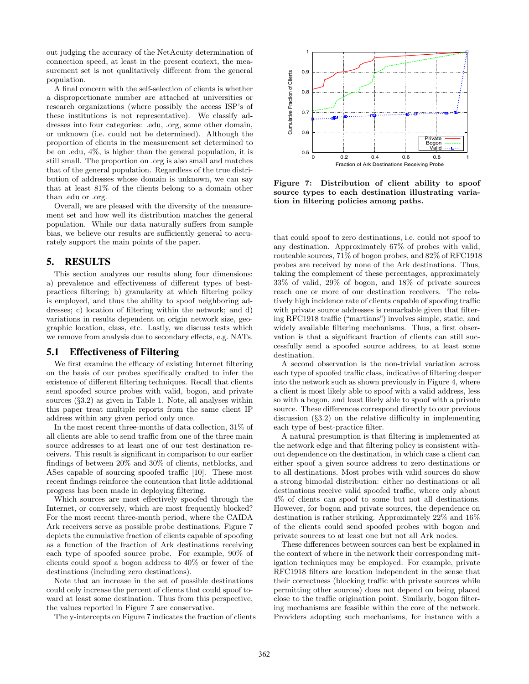out judging the accuracy of the NetAcuity determination of connection speed, at least in the present context, the measurement set is not qualitatively different from the general population.

A final concern with the self-selection of clients is whether a disproportionate number are attached at universities or research organizations (where possibly the access ISP's of these institutions is not representative). We classify addresses into four categories: .edu, .org, some other domain, or unknown (i.e. could not be determined). Although the proportion of clients in the measurement set determined to be on .edu, 4%, is higher than the general population, it is still small. The proportion on .org is also small and matches that of the general population. Regardless of the true distribution of addresses whose domain is unknown, we can say that at least 81% of the clients belong to a domain other than .edu or .org.

Overall, we are pleased with the diversity of the measurement set and how well its distribution matches the general population. While our data naturally suffers from sample bias, we believe our results are sufficiently general to accurately support the main points of the paper.

## **5. RESULTS**

This section analyzes our results along four dimensions: a) prevalence and effectiveness of different types of bestpractices filtering; b) granularity at which filtering policy is employed, and thus the ability to spoof neighboring addresses; c) location of filtering within the network; and d) variations in results dependent on origin network size, geographic location, class, etc. Lastly, we discuss tests which we remove from analysis due to secondary effects, e.g. NATs.

### **5.1 Effectiveness of Filtering**

We first examine the efficacy of existing Internet filtering on the basis of our probes specifically crafted to infer the existence of different filtering techniques. Recall that clients send spoofed source probes with valid, bogon, and private sources (§3.2) as given in Table 1. Note, all analyses within this paper treat multiple reports from the same client IP address within any given period only once.

In the most recent three-months of data collection, 31% of all clients are able to send traffic from one of the three main source addresses to at least one of our test destination receivers. This result is significant in comparison to our earlier findings of between 20% and 30% of clients, netblocks, and ASes capable of sourcing spoofed traffic [10]. These most recent findings reinforce the contention that little additional progress has been made in deploying filtering.

Which sources are most effectively spoofed through the Internet, or conversely, which are most frequently blocked? For the most recent three-month period, where the CAIDA Ark receivers serve as possible probe destinations, Figure 7 depicts the cumulative fraction of clients capable of spoofing as a function of the fraction of Ark destinations receiving each type of spoofed source probe. For example, 90% of clients could spoof a bogon address to 40% or fewer of the destinations (including zero destinations).

Note that an increase in the set of possible destinations could only increase the percent of clients that could spoof toward at least some destination. Thus from this perspective, the values reported in Figure 7 are conservative.

The y-intercepts on Figure 7 indicates the fraction of clients



**Figure 7: Distribution of client ability to spoof source types to each destination illustrating variation in filtering policies among paths.**

that could spoof to zero destinations, i.e. could not spoof to any destination. Approximately 67% of probes with valid, routeable sources, 71% of bogon probes, and 82% of RFC1918 probes are received by none of the Ark destinations. Thus, taking the complement of these percentages, approximately 33% of valid, 29% of bogon, and 18% of private sources reach one or more of our destination receivers. The relatively high incidence rate of clients capable of spoofing traffic with private source addresses is remarkable given that filtering RFC1918 traffic ("martians") involves simple, static, and widely available filtering mechanisms. Thus, a first observation is that a significant fraction of clients can still successfully send a spoofed source address, to at least some destination.

A second observation is the non-trivial variation across each type of spoofed traffic class, indicative of filtering deeper into the network such as shown previously in Figure 4, where a client is most likely able to spoof with a valid address, less so with a bogon, and least likely able to spoof with a private source. These differences correspond directly to our previous discussion (§3.2) on the relative difficulty in implementing each type of best-practice filter.

A natural presumption is that filtering is implemented at the network edge and that filtering policy is consistent without dependence on the destination, in which case a client can either spoof a given source address to zero destinations or to all destinations. Most probes with valid sources do show a strong bimodal distribution: either no destinations or all destinations receive valid spoofed traffic, where only about 4% of clients can spoof to some but not all destinations. However, for bogon and private sources, the dependence on destination is rather striking. Approximately 22% and 16% of the clients could send spoofed probes with bogon and private sources to at least one but not all Ark nodes.

These differences between sources can best be explained in the context of where in the network their corresponding mitigation techniques may be employed. For example, private RFC1918 filters are location independent in the sense that their correctness (blocking traffic with private sources while permitting other sources) does not depend on being placed close to the traffic origination point. Similarly, bogon filtering mechanisms are feasible within the core of the network. Providers adopting such mechanisms, for instance with a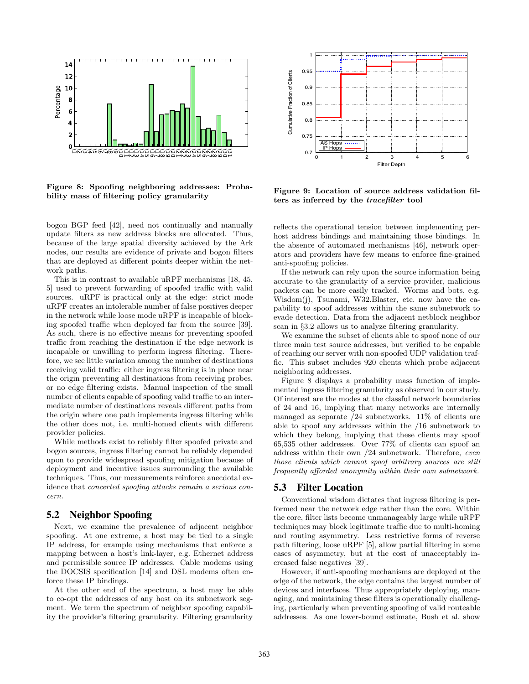

**Figure 8: Spoofing neighboring addresses: Probability mass of filtering policy granularity**

bogon BGP feed [42], need not continually and manually update filters as new address blocks are allocated. Thus, because of the large spatial diversity achieved by the Ark nodes, our results are evidence of private and bogon filters that are deployed at different points deeper within the network paths.

This is in contrast to available uRPF mechanisms [18, 45, 5] used to prevent forwarding of spoofed traffic with valid sources. uRPF is practical only at the edge: strict mode uRPF creates an intolerable number of false positives deeper in the network while loose mode uRPF is incapable of blocking spoofed traffic when deployed far from the source [39]. As such, there is no effective means for preventing spoofed traffic from reaching the destination if the edge network is incapable or unwilling to perform ingress filtering. Therefore, we see little variation among the number of destinations receiving valid traffic: either ingress filtering is in place near the origin preventing all destinations from receiving probes, or no edge filtering exists. Manual inspection of the small number of clients capable of spoofing valid traffic to an intermediate number of destinations reveals different paths from the origin where one path implements ingress filtering while the other does not, i.e. multi-homed clients with different provider policies.

While methods exist to reliably filter spoofed private and bogon sources, ingress filtering cannot be reliably depended upon to provide widespread spoofing mitigation because of deployment and incentive issues surrounding the available techniques. Thus, our measurements reinforce anecdotal evidence that concerted spoofing attacks remain a serious concern.

#### **5.2 Neighbor Spoofing**

Next, we examine the prevalence of adjacent neighbor spoofing. At one extreme, a host may be tied to a single IP address, for example using mechanisms that enforce a mapping between a host's link-layer, e.g. Ethernet address and permissible source IP addresses. Cable modems using the DOCSIS specification [14] and DSL modems often enforce these IP bindings.

At the other end of the spectrum, a host may be able to co-opt the addresses of any host on its subnetwork segment. We term the spectrum of neighbor spoofing capability the provider's filtering granularity. Filtering granularity



**Figure 9: Location of source address validation filters as inferred by the** *tracefilter* **tool**

reflects the operational tension between implementing perhost address bindings and maintaining those bindings. In the absence of automated mechanisms [46], network operators and providers have few means to enforce fine-grained anti-spoofing policies.

If the network can rely upon the source information being accurate to the granularity of a service provider, malicious packets can be more easily tracked. Worms and bots, e.g. Wisdom(j), Tsunami, W32.Blaster, etc. now have the capability to spoof addresses within the same subnetwork to evade detection. Data from the adjacent netblock neighbor scan in §3.2 allows us to analyze filtering granularity.

We examine the subset of clients able to spoof none of our three main test source addresses, but verified to be capable of reaching our server with non-spoofed UDP validation traffic. This subset includes 920 clients which probe adjacent neighboring addresses.

Figure 8 displays a probability mass function of implemented ingress filtering granularity as observed in our study. Of interest are the modes at the classful network boundaries of 24 and 16, implying that many networks are internally managed as separate /24 subnetworks. 11% of clients are able to spoof any addresses within the /16 subnetwork to which they belong, implying that these clients may spoof 65,535 other addresses. Over 77% of clients can spoof an address within their own /24 subnetwork. Therefore, even those clients which cannot spoof arbitrary sources are still frequently afforded anonymity within their own subnetwork.

#### **5.3 Filter Location**

Conventional wisdom dictates that ingress filtering is performed near the network edge rather than the core. Within the core, filter lists become unmanageably large while uRPF techniques may block legitimate traffic due to multi-homing and routing asymmetry. Less restrictive forms of reverse path filtering, loose uRPF [5], allow partial filtering in some cases of asymmetry, but at the cost of unacceptably increased false negatives [39].

However, if anti-spoofing mechanisms are deployed at the edge of the network, the edge contains the largest number of devices and interfaces. Thus appropriately deploying, managing, and maintaining these filters is operationally challenging, particularly when preventing spoofing of valid routeable addresses. As one lower-bound estimate, Bush et al. show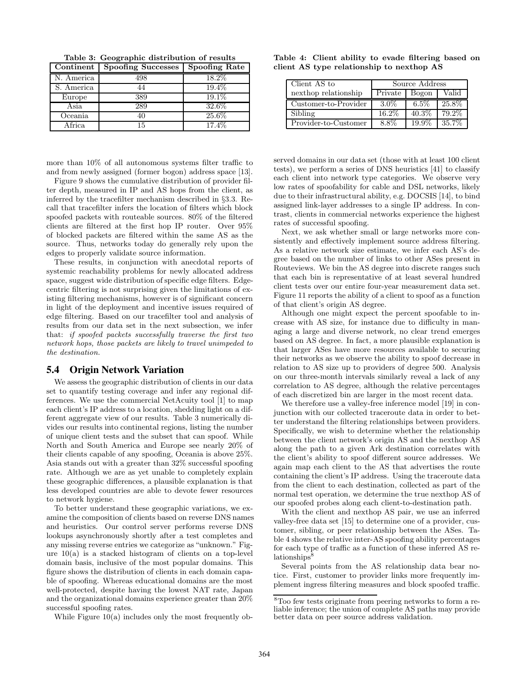**Table 3: Geographic distribution of results**

| Continent  | <b>Spoofing Successes</b> | Spoofing Rate |
|------------|---------------------------|---------------|
| N. America | 498                       | 18.2%         |
| S. America |                           | 19.4%         |
| Europe     | 389                       | 19.1%         |
| Asia       | 289                       | 32.6%         |
| Oceania    | 40                        | 25.6%         |
| Africa     | 15                        | 17.4%         |

more than 10% of all autonomous systems filter traffic to and from newly assigned (former bogon) address space [13].

Figure 9 shows the cumulative distribution of provider filter depth, measured in IP and AS hops from the client, as inferred by the tracefilter mechanism described in §3.3. Recall that tracefilter infers the location of filters which block spoofed packets with routeable sources. 80% of the filtered clients are filtered at the first hop IP router. Over 95% of blocked packets are filtered within the same AS as the source. Thus, networks today do generally rely upon the edges to properly validate source information.

These results, in conjunction with anecdotal reports of systemic reachability problems for newly allocated address space, suggest wide distribution of specific edge filters. Edgecentric filtering is not surprising given the limitations of existing filtering mechanisms, however is of significant concern in light of the deployment and incentive issues required of edge filtering. Based on our tracefilter tool and analysis of results from our data set in the next subsection, we infer that: if spoofed packets successfully traverse the first two network hops, those packets are likely to travel unimpeded to the destination.

#### **5.4 Origin Network Variation**

We assess the geographic distribution of clients in our data set to quantify testing coverage and infer any regional differences. We use the commercial NetAcuity tool [1] to map each client's IP address to a location, shedding light on a different aggregate view of our results. Table 3 numerically divides our results into continental regions, listing the number of unique client tests and the subset that can spoof. While North and South America and Europe see nearly 20% of their clients capable of any spoofing, Oceania is above 25%. Asia stands out with a greater than 32% successful spoofing rate. Although we are as yet unable to completely explain these geographic differences, a plausible explanation is that less developed countries are able to devote fewer resources to network hygiene.

To better understand these geographic variations, we examine the composition of clients based on reverse DNS names and heuristics. Our control server performs reverse DNS lookups asynchronously shortly after a test completes and any missing reverse entries we categorize as "unknown." Figure  $10(a)$  is a stacked histogram of clients on a top-level domain basis, inclusive of the most popular domains. This figure shows the distribution of clients in each domain capable of spoofing. Whereas educational domains are the most well-protected, despite having the lowest NAT rate, Japan and the organizational domains experience greater than 20% successful spoofing rates.

While Figure 10(a) includes only the most frequently ob-

**Table 4: Client ability to evade filtering based on client AS type relationship to nexthop AS**

| Client AS to         | Source Address |         |       |  |
|----------------------|----------------|---------|-------|--|
| nexthop relationship | Private        | Bogon   | Valid |  |
| Customer-to-Provider | $3.0\%$        | $6.5\%$ | 25.8% |  |
| Sibling              | 16.2\%         | 40.3%   | 79.2% |  |
| Provider-to-Customer | 8.8%           | 19.9%   | 35.7% |  |

served domains in our data set (those with at least 100 client tests), we perform a series of DNS heuristics [41] to classify each client into network type categories. We observe very low rates of spoofability for cable and DSL networks, likely due to their infrastructural ability, e.g. DOCSIS [14], to bind assigned link-layer addresses to a single IP address. In contrast, clients in commercial networks experience the highest rates of successful spoofing.

Next, we ask whether small or large networks more consistently and effectively implement source address filtering. As a relative network size estimate, we infer each AS's degree based on the number of links to other ASes present in Routeviews. We bin the AS degree into discrete ranges such that each bin is representative of at least several hundred client tests over our entire four-year measurement data set. Figure 11 reports the ability of a client to spoof as a function of that client's origin AS degree.

Although one might expect the percent spoofable to increase with AS size, for instance due to difficulty in managing a large and diverse network, no clear trend emerges based on AS degree. In fact, a more plausible explanation is that larger ASes have more resources available to securing their networks as we observe the ability to spoof decrease in relation to AS size up to providers of degree 500. Analysis on our three-month intervals similarly reveal a lack of any correlation to AS degree, although the relative percentages of each discretized bin are larger in the most recent data.

We therefore use a valley-free inference model [19] in conjunction with our collected traceroute data in order to better understand the filtering relationships between providers. Specifically, we wish to determine whether the relationship between the client network's origin AS and the nexthop AS along the path to a given Ark destination correlates with the client's ability to spoof different source addresses. We again map each client to the AS that advertises the route containing the client's IP address. Using the traceroute data from the client to each destination, collected as part of the normal test operation, we determine the true nexthop AS of our spoofed probes along each client-to-destination path.

With the client and nexthop AS pair, we use an inferred valley-free data set [15] to determine one of a provider, customer, sibling, or peer relationship between the ASes. Table 4 shows the relative inter-AS spoofing ability percentages for each type of traffic as a function of these inferred AS re $lationalitys<sup>8</sup>$ 

Several points from the AS relationship data bear notice. First, customer to provider links more frequently implement ingress filtering measures and block spoofed traffic.

 $^8\rm{Too}$  few tests originate from peering networks to form a reliable inference; the union of complete AS paths may provide better data on peer source address validation.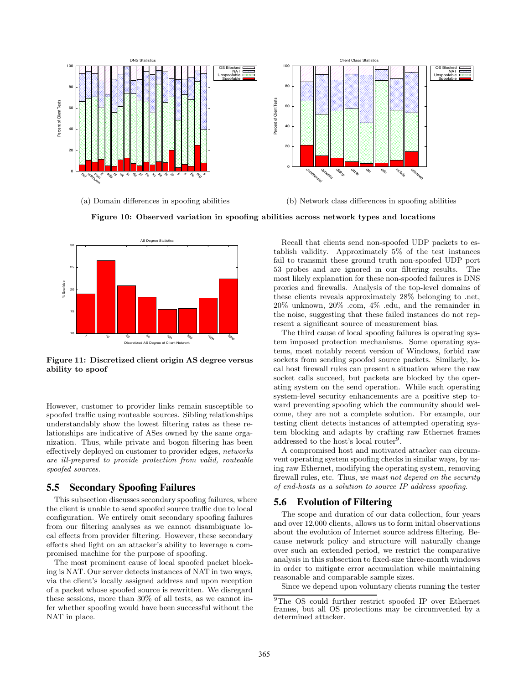

(a) Domain differences in spoofing abilities

(b) Network class differences in spoofing abilities

**Figure 10: Observed variation in spoofing abilities across network types and locations**



**Figure 11: Discretized client origin AS degree versus ability to spoof**

However, customer to provider links remain susceptible to spoofed traffic using routeable sources. Sibling relationships understandably show the lowest filtering rates as these relationships are indicative of ASes owned by the same organization. Thus, while private and bogon filtering has been effectively deployed on customer to provider edges, networks are ill-prepared to provide protection from valid, routeable spoofed sources.

#### **5.5 Secondary Spoofing Failures**

This subsection discusses secondary spoofing failures, where the client is unable to send spoofed source traffic due to local configuration. We entirely omit secondary spoofing failures from our filtering analyses as we cannot disambiguate local effects from provider filtering. However, these secondary effects shed light on an attacker's ability to leverage a compromised machine for the purpose of spoofing.

The most prominent cause of local spoofed packet blocking is NAT. Our server detects instances of NAT in two ways, via the client's locally assigned address and upon reception of a packet whose spoofed source is rewritten. We disregard these sessions, more than 30% of all tests, as we cannot infer whether spoofing would have been successful without the NAT in place.

Recall that clients send non-spoofed UDP packets to establish validity. Approximately 5% of the test instances fail to transmit these ground truth non-spoofed UDP port 53 probes and are ignored in our filtering results. The most likely explanation for these non-spoofed failures is DNS proxies and firewalls. Analysis of the top-level domains of these clients reveals approximately 28% belonging to .net, 20% unknown, 20% .com, 4% .edu, and the remainder in the noise, suggesting that these failed instances do not represent a significant source of measurement bias.

The third cause of local spoofing failures is operating system imposed protection mechanisms. Some operating systems, most notably recent version of Windows, forbid raw sockets from sending spoofed source packets. Similarly, local host firewall rules can present a situation where the raw socket calls succeed, but packets are blocked by the operating system on the send operation. While such operating system-level security enhancements are a positive step toward preventing spoofing which the community should welcome, they are not a complete solution. For example, our testing client detects instances of attempted operating system blocking and adapts by crafting raw Ethernet frames addressed to the host's local router<sup>9</sup>.

A compromised host and motivated attacker can circumvent operating system spoofing checks in similar ways, by using raw Ethernet, modifying the operating system, removing firewall rules, etc. Thus, we must not depend on the security of end-hosts as a solution to source IP address spoofing.

## **5.6 Evolution of Filtering**

The scope and duration of our data collection, four years and over 12,000 clients, allows us to form initial observations about the evolution of Internet source address filtering. Because network policy and structure will naturally change over such an extended period, we restrict the comparative analysis in this subsection to fixed-size three-month windows in order to mitigate error accumulation while maintaining reasonable and comparable sample sizes.

Since we depend upon voluntary clients running the tester

<sup>9</sup>The OS could further restrict spoofed IP over Ethernet frames, but all OS protections may be circumvented by a determined attacker.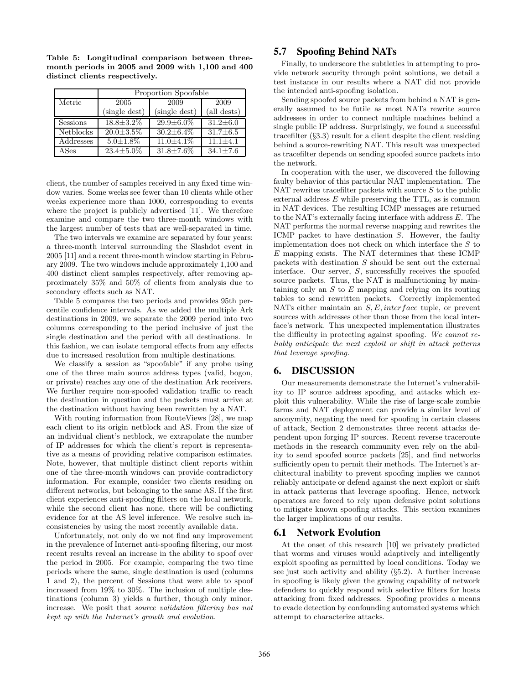**Table 5: Longitudinal comparison between threemonth periods in 2005 and 2009 with 1,100 and 400 distinct clients respectively.**

|                  | Proportion Spoofable |                  |                |  |
|------------------|----------------------|------------------|----------------|--|
| Metric           | 2005                 | 2009             | 2009           |  |
|                  | (single dest)        | (single dest)    | (all dests)    |  |
| Sessions         | $18.8 \pm 3.2\%$     | $29.9 \pm 6.0\%$ | $31.2 \pm 6.0$ |  |
| <b>Netblocks</b> | $20.0 \pm 3.5\%$     | $30.2 \pm 6.4\%$ | $31.7 \pm 6.5$ |  |
| Addresses        | $5.0 \pm 1.8\%$      | $11.0 \pm 4.1\%$ | $11.1 + 4.1$   |  |
| $_{\rm ASes}$    | $23.4 \pm 5.0\%$     | $31.8 \pm 7.6\%$ | $34.1 \pm 7.6$ |  |

client, the number of samples received in any fixed time window varies. Some weeks see fewer than 10 clients while other weeks experience more than 1000, corresponding to events where the project is publicly advertised [11]. We therefore examine and compare the two three-month windows with the largest number of tests that are well-separated in time.

The two intervals we examine are separated by four years: a three-month interval surrounding the Slashdot event in 2005 [11] and a recent three-month window starting in February 2009. The two windows include approximately 1,100 and 400 distinct client samples respectively, after removing approximately 35% and 50% of clients from analysis due to secondary effects such as NAT.

Table 5 compares the two periods and provides 95th percentile confidence intervals. As we added the multiple Ark destinations in 2009, we separate the 2009 period into two columns corresponding to the period inclusive of just the single destination and the period with all destinations. In this fashion, we can isolate temporal effects from any effects due to increased resolution from multiple destinations.

We classify a session as "spoofable" if any probe using one of the three main source address types (valid, bogon, or private) reaches any one of the destination Ark receivers. We further require non-spoofed validation traffic to reach the destination in question and the packets must arrive at the destination without having been rewritten by a NAT.

With routing information from RouteViews [28], we map each client to its origin netblock and AS. From the size of an individual client's netblock, we extrapolate the number of IP addresses for which the client's report is representative as a means of providing relative comparison estimates. Note, however, that multiple distinct client reports within one of the three-month windows can provide contradictory information. For example, consider two clients residing on different networks, but belonging to the same AS. If the first client experiences anti-spoofing filters on the local network, while the second client has none, there will be conflicting evidence for at the AS level inference. We resolve such inconsistencies by using the most recently available data.

Unfortunately, not only do we not find any improvement in the prevalence of Internet anti-spoofing filtering, our most recent results reveal an increase in the ability to spoof over the period in 2005. For example, comparing the two time periods where the same, single destination is used (columns 1 and 2), the percent of Sessions that were able to spoof increased from 19% to 30%. The inclusion of multiple destinations (column 3) yields a further, though only minor, increase. We posit that source validation filtering has not kept up with the Internet's growth and evolution.

# **5.7 Spoofing Behind NATs**

Finally, to underscore the subtleties in attempting to provide network security through point solutions, we detail a test instance in our results where a NAT did not provide the intended anti-spoofing isolation.

Sending spoofed source packets from behind a NAT is generally assumed to be futile as most NATs rewrite source addresses in order to connect multiple machines behind a single public IP address. Surprisingly, we found a successful tracefilter (§3.3) result for a client despite the client residing behind a source-rewriting NAT. This result was unexpected as tracefilter depends on sending spoofed source packets into the network.

In cooperation with the user, we discovered the following faulty behavior of this particular NAT implementation. The NAT rewrites tracefilter packets with source  $S$  to the public external address  $E$  while preserving the TTL, as is common in NAT devices. The resulting ICMP messages are returned to the NAT's externally facing interface with address E. The NAT performs the normal reverse mapping and rewrites the ICMP packet to have destination S. However, the faulty implementation does not check on which interface the S to E mapping exists. The NAT determines that these ICMP packets with destination S should be sent out the external interface. Our server, S, successfully receives the spoofed source packets. Thus, the NAT is malfunctioning by maintaining only an  $S$  to  $E$  mapping and relying on its routing tables to send rewritten packets. Correctly implemented NATs either maintain an  $S, E,$  interface tuple, or prevent sources with addresses other than those from the local interface's network. This unexpected implementation illustrates the difficulty in protecting against spoofing. We cannot reliably anticipate the next exploit or shift in attack patterns that leverage spoofing.

# **6. DISCUSSION**

Our measurements demonstrate the Internet's vulnerability to IP source address spoofing, and attacks which exploit this vulnerability. While the rise of large-scale zombie farms and NAT deployment can provide a similar level of anonymity, negating the need for spoofing in certain classes of attack, Section 2 demonstrates three recent attacks dependent upon forging IP sources. Recent reverse traceroute methods in the research community even rely on the ability to send spoofed source packets [25], and find networks sufficiently open to permit their methods. The Internet's architectural inability to prevent spoofing implies we cannot reliably anticipate or defend against the next exploit or shift in attack patterns that leverage spoofing. Hence, network operators are forced to rely upon defensive point solutions to mitigate known spoofing attacks. This section examines the larger implications of our results.

#### **6.1 Network Evolution**

At the onset of this research [10] we privately predicted that worms and viruses would adaptively and intelligently exploit spoofing as permitted by local conditions. Today we see just such activity and ability (§5.2). A further increase in spoofing is likely given the growing capability of network defenders to quickly respond with selective filters for hosts attacking from fixed addresses. Spoofing provides a means to evade detection by confounding automated systems which attempt to characterize attacks.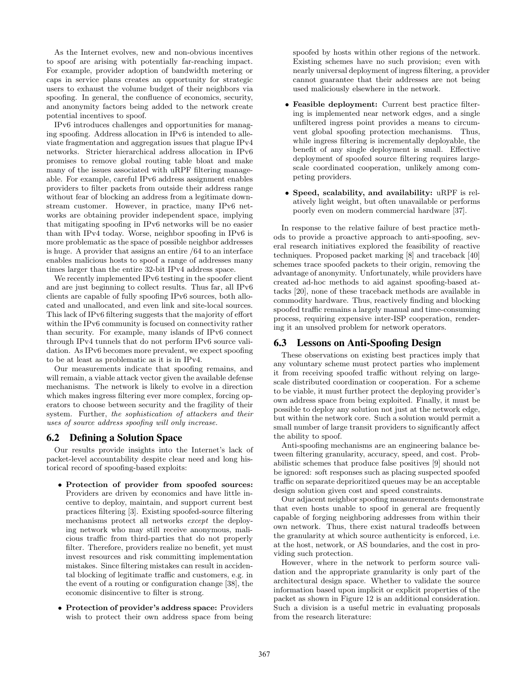As the Internet evolves, new and non-obvious incentives to spoof are arising with potentially far-reaching impact. For example, provider adoption of bandwidth metering or caps in service plans creates an opportunity for strategic users to exhaust the volume budget of their neighbors via spoofing. In general, the confluence of economics, security, and anonymity factors being added to the network create potential incentives to spoof.

IPv6 introduces challenges and opportunities for managing spoofing. Address allocation in IPv6 is intended to alleviate fragmentation and aggregation issues that plague IPv4 networks. Stricter hierarchical address allocation in IPv6 promises to remove global routing table bloat and make many of the issues associated with uRPF filtering manageable. For example, careful IPv6 address assignment enables providers to filter packets from outside their address range without fear of blocking an address from a legitimate downstream customer. However, in practice, many IPv6 networks are obtaining provider independent space, implying that mitigating spoofing in IPv6 networks will be no easier than with IPv4 today. Worse, neighbor spoofing in IPv6 is more problematic as the space of possible neighbor addresses is huge. A provider that assigns an entire /64 to an interface enables malicious hosts to spoof a range of addresses many times larger than the entire 32-bit IPv4 address space.

We recently implemented IPv6 testing in the spoofer client and are just beginning to collect results. Thus far, all IPv6 clients are capable of fully spoofing IPv6 sources, both allocated and unallocated, and even link and site-local sources. This lack of IPv6 filtering suggests that the majority of effort within the IPv6 community is focused on connectivity rather than security. For example, many islands of IPv6 connect through IPv4 tunnels that do not perform IPv6 source validation. As IPv6 becomes more prevalent, we expect spoofing to be at least as problematic as it is in IPv4.

Our measurements indicate that spoofing remains, and will remain, a viable attack vector given the available defense mechanisms. The network is likely to evolve in a direction which makes ingress filtering ever more complex, forcing operators to choose between security and the fragility of their system. Further, the sophistication of attackers and their uses of source address spoofing will only increase.

#### **6.2 Defining a Solution Space**

Our results provide insights into the Internet's lack of packet-level accountability despite clear need and long historical record of spoofing-based exploits:

- **Protection of provider from spoofed sources:** Providers are driven by economics and have little incentive to deploy, maintain, and support current best practices filtering [3]. Existing spoofed-source filtering mechanisms protect all networks except the deploying network who may still receive anonymous, malicious traffic from third-parties that do not properly filter. Therefore, providers realize no benefit, yet must invest resources and risk committing implementation mistakes. Since filtering mistakes can result in accidental blocking of legitimate traffic and customers, e.g. in the event of a routing or configuration change [38], the economic disincentive to filter is strong.
- **Protection of provider's address space:** Providers wish to protect their own address space from being

spoofed by hosts within other regions of the network. Existing schemes have no such provision; even with nearly universal deployment of ingress filtering, a provider cannot guarantee that their addresses are not being used maliciously elsewhere in the network.

- **Feasible deployment:** Current best practice filtering is implemented near network edges, and a single unfiltered ingress point provides a means to circumvent global spoofing protection mechanisms. Thus, while ingress filtering is incrementally deployable, the benefit of any single deployment is small. Effective deployment of spoofed source filtering requires largescale coordinated cooperation, unlikely among competing providers.
- **Speed, scalability, and availability:** uRPF is relatively light weight, but often unavailable or performs poorly even on modern commercial hardware [37].

In response to the relative failure of best practice methods to provide a proactive approach to anti-spoofing, several research initiatives explored the feasibility of reactive techniques. Proposed packet marking [8] and traceback [40] schemes trace spoofed packets to their origin, removing the advantage of anonymity. Unfortunately, while providers have created ad-hoc methods to aid against spoofing-based attacks [20], none of these traceback methods are available in commodity hardware. Thus, reactively finding and blocking spoofed traffic remains a largely manual and time-consuming process, requiring expensive inter-ISP cooperation, rendering it an unsolved problem for network operators.

#### **6.3 Lessons on Anti-Spoofing Design**

These observations on existing best practices imply that any voluntary scheme must protect parties who implement it from receiving spoofed traffic without relying on largescale distributed coordination or cooperation. For a scheme to be viable, it must further protect the deploying provider's own address space from being exploited. Finally, it must be possible to deploy any solution not just at the network edge, but within the network core. Such a solution would permit a small number of large transit providers to significantly affect the ability to spoof.

Anti-spoofing mechanisms are an engineering balance between filtering granularity, accuracy, speed, and cost. Probabilistic schemes that produce false positives [9] should not be ignored: soft responses such as placing suspected spoofed traffic on separate deprioritized queues may be an acceptable design solution given cost and speed constraints.

Our adjacent neighbor spoofing measurements demonstrate that even hosts unable to spoof in general are frequently capable of forging neighboring addresses from within their own network. Thus, there exist natural tradeoffs between the granularity at which source authenticity is enforced, i.e. at the host, network, or AS boundaries, and the cost in providing such protection.

However, where in the network to perform source validation and the appropriate granularity is only part of the architectural design space. Whether to validate the source information based upon implicit or explicit properties of the packet as shown in Figure 12 is an additional consideration. Such a division is a useful metric in evaluating proposals from the research literature: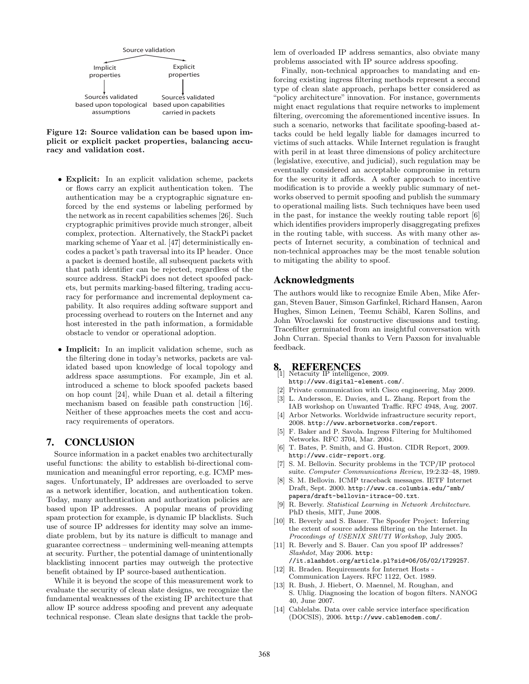

**Figure 12: Source validation can be based upon implicit or explicit packet properties, balancing accuracy and validation cost.**

- **Explicit:** In an explicit validation scheme, packets or flows carry an explicit authentication token. The authentication may be a cryptographic signature enforced by the end systems or labeling performed by the network as in recent capabilities schemes [26]. Such cryptographic primitives provide much stronger, albeit complex, protection. Alternatively, the StackPi packet marking scheme of Yaar et al. [47] deterministically encodes a packet's path traversal into its IP header. Once a packet is deemed hostile, all subsequent packets with that path identifier can be rejected, regardless of the source address. StackPi does not detect spoofed packets, but permits marking-based filtering, trading accuracy for performance and incremental deployment capability. It also requires adding software support and processing overhead to routers on the Internet and any host interested in the path information, a formidable obstacle to vendor or operational adoption.
- **Implicit:** In an implicit validation scheme, such as the filtering done in today's networks, packets are validated based upon knowledge of local topology and address space assumptions. For example, Jin et al. introduced a scheme to block spoofed packets based on hop count [24], while Duan et al. detail a filtering mechanism based on feasible path construction [16]. Neither of these approaches meets the cost and accuracy requirements of operators.

# **7. CONCLUSION**

Source information in a packet enables two architecturally useful functions: the ability to establish bi-directional communication and meaningful error reporting, e.g. ICMP messages. Unfortunately, IP addresses are overloaded to serve as a network identifier, location, and authentication token. Today, many authentication and authorization policies are based upon IP addresses. A popular means of providing spam protection for example, is dynamic IP blacklists. Such use of source IP addresses for identity may solve an immediate problem, but by its nature is difficult to manage and guarantee correctness – undermining well-meaning attempts at security. Further, the potential damage of unintentionally blacklisting innocent parties may outweigh the protective benefit obtained by IP source-based authentication.

While it is beyond the scope of this measurement work to evaluate the security of clean slate designs, we recognize the fundamental weaknesses of the existing IP architecture that allow IP source address spoofing and prevent any adequate technical response. Clean slate designs that tackle the problem of overloaded IP address semantics, also obviate many problems associated with IP source address spoofing.

Finally, non-technical approaches to mandating and enforcing existing ingress filtering methods represent a second type of clean slate approach, perhaps better considered as "policy architecture" innovation. For instance, governments might enact regulations that require networks to implement filtering, overcoming the aforementioned incentive issues. In such a scenario, networks that facilitate spoofing-based attacks could be held legally liable for damages incurred to victims of such attacks. While Internet regulation is fraught with peril in at least three dimensions of policy architecture (legislative, executive, and judicial), such regulation may be eventually considered an acceptable compromise in return for the security it affords. A softer approach to incentive modification is to provide a weekly public summary of networks observed to permit spoofing and publish the summary to operational mailing lists. Such techniques have been used in the past, for instance the weekly routing table report [6] which identifies providers improperly disaggregating prefixes in the routing table, with success. As with many other aspects of Internet security, a combination of technical and non-technical approaches may be the most tenable solution to mitigating the ability to spoof.

#### **Acknowledgments**

The authors would like to recognize Emile Aben, Mike Afergan, Steven Bauer, Simson Garfinkel, Richard Hansen, Aaron Hughes, Simon Leinen, Teemu Schäbl, Karen Sollins, and John Wroclawski for constructive discussions and testing. Tracefilter germinated from an insightful conversation with John Curran. Special thanks to Vern Paxson for invaluable feedback.

## **8. REFERENCES**

- Netacuity IP intelligence, 2009.
- http://www.digital-element.com/.
- Private communication with Cisco engineering, May 2009. [3] L. Andersson, E. Davies, and L. Zhang. Report from the
- IAB workshop on Unwanted Traffic. RFC 4948, Aug. 2007. [4] Arbor Networks. Worldwide infrastructure security report, 2008. http://www.arbornetworks.com/report.
- [5] F. Baker and P. Savola. Ingress Filtering for Multihomed Networks. RFC 3704, Mar. 2004.
- [6] T. Bates, P. Smith, and G. Huston. CIDR Report, 2009. http://www.cidr-report.org.
- [7] S. M. Bellovin. Security problems in the TCP/IP protocol suite. *Computer Communications Review*, 19:2:32–48, 1989.
- [8] S. M. Bellovin. ICMP traceback messages. IETF Internet Draft, Sept. 2000. http://www.cs.columbia.edu/~smb/ papers/draft-bellovin-itrace-00.txt.
- [9] R. Beverly. *Statistical Learning in Network Architecture*. PhD thesis, MIT, June 2008.
- [10] R. Beverly and S. Bauer. The Spoofer Project: Inferring the extent of source address filtering on the Internet. In *Proceedings of USENIX SRUTI Workshop*, July 2005.
- [11] R. Beverly and S. Bauer. Can you spoof IP addresses? *Slashdot*, May 2006. http:
- //it.slashdot.org/article.pl?sid=06/05/02/1729257. [12] R. Braden. Requirements for Internet Hosts -
- Communication Layers. RFC 1122, Oct. 1989. [13] R. Bush, J. Hiebert, O. Maennel, M. Roughan, and
- S. Uhlig. Diagnosing the location of bogon filters. NANOG 40, June 2007.
- [14] Cablelabs. Data over cable service interface specification (DOCSIS), 2006. http://www.cablemodem.com/.